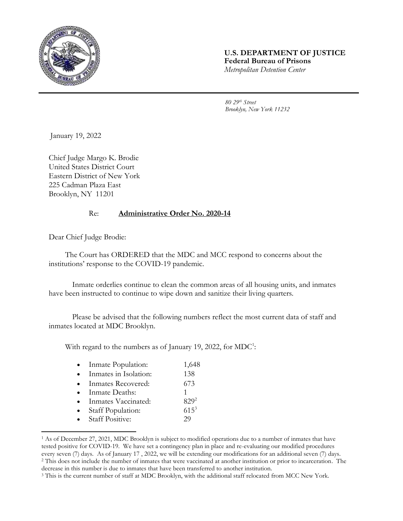

## **U.S. DEPARTMENT OF JUSTICE Federal Bureau of Prisons** *Metropolitan Detention Center*

*80 29th Street Brooklyn, New York 11232*

January 19, 2022

Chief Judge Margo K. Brodie United States District Court Eastern District of New York 225 Cadman Plaza East Brooklyn, NY 11201

## Re: **Administrative Order No. 2020-14**

Dear Chief Judge Brodie:

l

The Court has ORDERED that the MDC and MCC respond to concerns about the institutions' response to the COVID-19 pandemic.

Inmate orderlies continue to clean the common areas of all housing units, and inmates have been instructed to continue to wipe down and sanitize their living quarters.

Please be advised that the following numbers reflect the most current data of staff and inmates located at MDC Brooklyn.

With regard to the numbers as of January 19, 2022, for  $\text{MDC}^1$ :

|  | Inmate Population: | 1,648 |
|--|--------------------|-------|
|--|--------------------|-------|

- Inmates in Isolation: 138
- Inmates Recovered: 673
- Inmate Deaths: 1
- Inmates Vaccinated: 829<sup>2</sup>
- Staff Population: 615<sup>3</sup>
- Staff Positive: 29

<sup>1</sup> As of December 27, 2021, MDC Brooklyn is subject to modified operations due to a number of inmates that have tested positive for COVID-19. We have set a contingency plan in place and re-evaluating our modified procedures every seven (7) days. As of January 17 , 2022, we will be extending our modifications for an additional seven (7) days. <sup>2</sup> This does not include the number of inmates that were vaccinated at another institution or prior to incarceration. The decrease in this number is due to inmates that have been transferred to another institution.

<sup>&</sup>lt;sup>3</sup> This is the current number of staff at MDC Brooklyn, with the additional staff relocated from MCC New York.